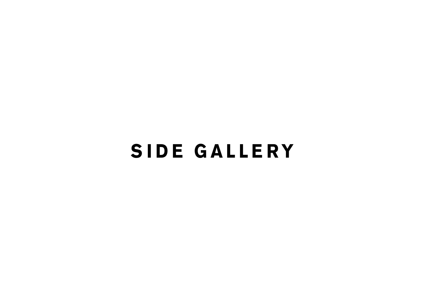# **SIDE GALLERY**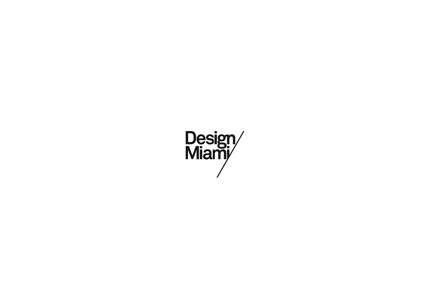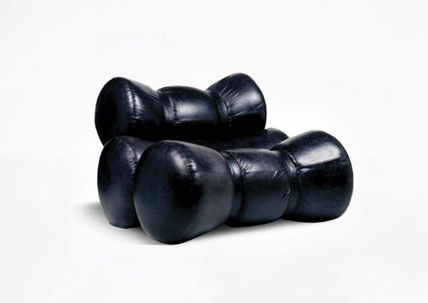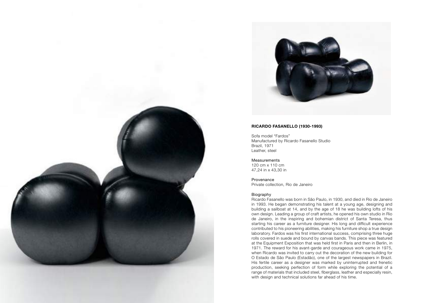

#### **RICARDO FASANELLO (1930-1993)**

Sofa model "Fardos" Manufactured by Ricardo Fasanello Studio Brazil, 1971 Leather, steel

**Measurements** 120 cm x 110 cm 47,24 in x 43,30 in

Provenance Private collection, Rio de Janeiro

#### Biography

80 Enric Granados 08008 Barcelona  $+34931621575$  $+34653238311$ 

info@side-gallery.com www.side-gallery.com

> Ricardo Fasanello was born in São Paulo, in 1930, and died in Rio de Janeiro in 1993. He began demonstrating his talent at a young age, designing and building a sailboat at 14, and by the age of 18 he was building lofts of his own design. Leading a group of craft artists, he opened his own studio in Rio de Janeiro, in the inspiring and bohemian district of Santa Teresa, thus starting his career as a furniture designer. His long and difficult experience contributed to his pioneering abilities, making his furniture shop a true design laboratory. Fardos was his first international success, comprising three huge rolls covered in suede and bound by canvas bands. This piece was featured at the Equipment Exposition that was held first in Paris and then in Berlin, in 1971. The reward for his avant-garde and courageous work came in 1975, when Ricardo was invited to carry out the decoration of the new building for O Estado de São Paulo (Estadão), one of the largest newspapers in Brazil. His fertile career as a designer was marked by uninterrupted and frenetic production, seeking perfection of form while exploring the potential of a range of materials that included steel, fiberglass, leather and especially resin, with design and technical solutions far ahead of his time.

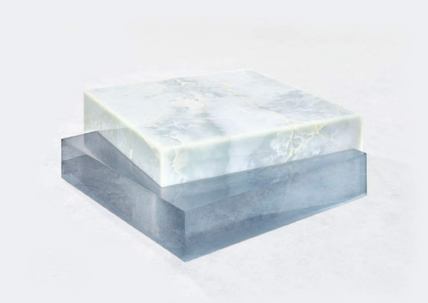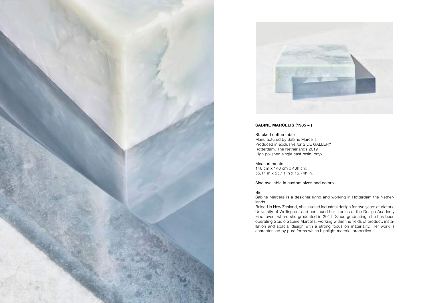

# **Bio**

Sabine Marcelis is a designer living and working in Rotterdam the Netherlands.

Raised in New Zealand, she studied industrial design for two years at Victoria University of Wellington, and continued her studies at the Design Academy<br>Eindhoven, where she graduated in 2011. Since graduating, she has been operating Studio Sabine Marcelis, working within the fields of product, installation and spacial design with a strong focus on materiality. Her work is characterised by pure forms which highlight material properties.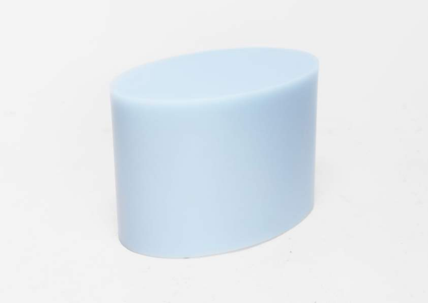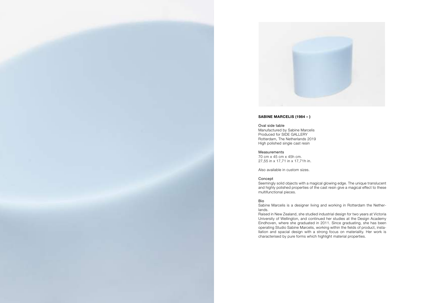

#### SABINE MARCELIS (1984 - )

#### Oval side table Manufactured by Sabine Marcelis

Produced for SIDE GALLERY Rotterdam, The Netherlands 2019 High polished single cast resin

#### Measurements

70 cm x 45 cm x 45h cm. 27,55 in x 17,71 in x 17,71h in.

Also available in custom sizes.

#### Concept

Seemingly solid objects with a magical glowing edge. The unique translucent and highly polished properties of the cast resin give a magical effect to these multifunctional pieces.

#### Bio

Sabine Marcelis is a designer living and working in Rotterdam the Netherlands.

Raised in New Zealand, she studied industrial design for two years at Victoria University of Wellington, and continued her studies at the Design Academy Eindhoven, where she graduated in 2011. Since graduating, she has been operating Studio Sabine Marcelis, working within the fields of product, installation and spacial design with a strong focus on materiality. Her work is characterised by pure forms which highlight material properties.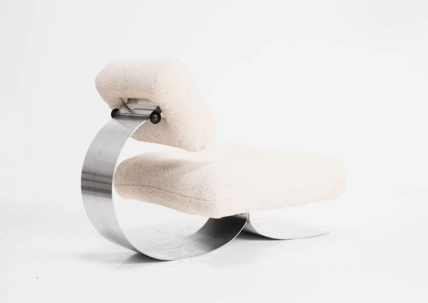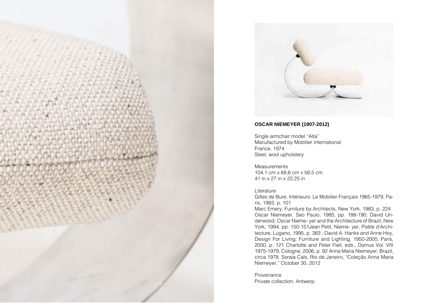



# **OSCAR NIEMEYER (1907-2012)**

Single armchair model "Alta" Manufactured by Mobilier international France, 1974 Steel, wool upholstery

**Measurements** 104,1 cm x 68,6 cm x 56,5 cm 41 in x 27 in x 22,25 in

# Literature

Gilles de Bure, Intérieurs: Le Mobilier Français 1965-1979, Paris, 1983, p. 101

Marc Emery, Furniture by Architects, New York, 1983, p. 224 Oscar Niemeyer, Sao Paulo, 1985, pp. 188-190; David Underwood, Oscar Nieme- yer and the Architecture of Brazil, New York, 1994, pp. 150-151Jean Petit, Nieme- yer, Poète d'Architecture, Lugano, 1995, p. 383 ; David A. Hanks and Anne Hoy, Design For Living: Furniture and Lighting, 1950-2000, Paris, 2000, p. 121 Charlotte and Peter Fiell, eds., Domus Vol. VIII 1975-1979, Cologne, 2006, p. 92 Anna Maria Niemeyer, Brazil, circa 1978. Soraia Cals, Rio de Janeiro, "Coleção Anna Maria Niemeyer," October 30, 2012

Provenance Private collection, Antwerp.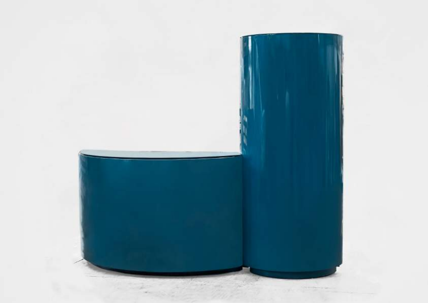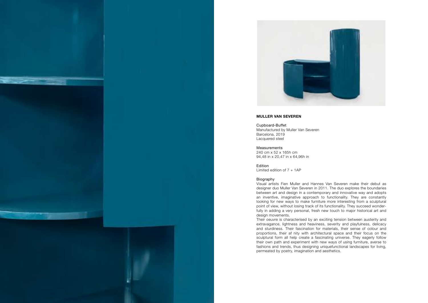

 $+34931621575$ +34 653 238 311

info@side-gallery.com www.side-gallery.com



#### **MULLER VAN SEVEREN**

Cupboard-Buffet Manufactured by Muller Van Severen Barcelona, 2019 Lacquered steel

Measurements 240 cm x 52 x 15h cm 94,48 in x 20,47 in x 64,96h in

Edition Limited edition of  $7 + 1AP$ 

#### Biography

Visual artists Fien Muller and Hannes Van Severen make their debut as designer duo Muller Van Severen in 2011. The duo explores the boundaries between art and design in a contemporary and innovative way and adopts an inventive, imaginative approach to functionality. They are constantly looking for new ways to make furniture more interesting from a sculptural point of view, without losing track of its functionality. They succeed wonderfully in adding a very personal, fresh new touch to major historical art and design movements.

Their oeuvre is characterised by an exciting tension between austerity and extravagance, lightness and heaviness, severity and playfulness, delicacy and sturdiness. Their fascination for materials, their sense of colour and proportions, their af nity with architectural space and their focus on the sculptural form all help create a fascinating universe. They eagerly follow their own path and experiment with new ways of using furniture, averse to fashions and trends, thus designing uniquefunctional landscapes for living, permeated by poetry, imagination and aesthetics.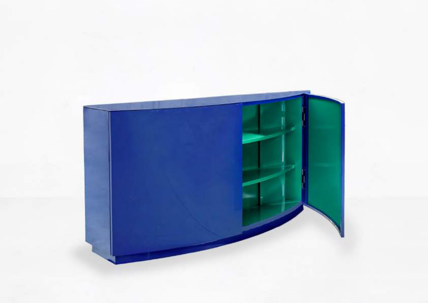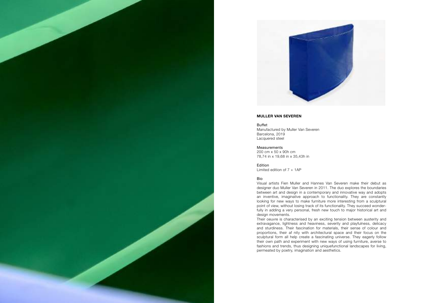$+34.931621575$  $+34653238311$ 

info@side-gallery.com www.side-gallery.com



#### **MULLER VAN SEVEREN**

#### Buffet

Manufactured by Muller Van Severen Barcelona, 2019 Lacquered steel

Measurements

200 cm x 50 x 90h cm 78,74 in x 19,8 in x 35,43h in

Edition Limited edition of  $7 + 1AP$ 

#### Bio

Visual artists Fien Muller and Hannes Van Severen make their debut as designer duo Muller Van Severen in 2011. The duo explores the boundaries between art and design in a contemporary and innovative way and adopts an inventive, imaginative approach to functionality. They are constantly looking for new ways to make furniture more interesting from a sculptural point of view, without losing track of its functionality. They succeed wonderfully in adding a very personal, fresh new touch to major historical art and design movements.

Their oeuvre is characterised by an exciting tension between austerity and extravagance, lightness and heaviness, severity and playfulness, delicacy and sturdiness. Their fascination for materials, their sense of colour and proportions, their af nity with architectural space and their focus on the sculptural form all help create a fascinating universe. They eagerly follow their own path and experiment with new ways of using furniture, averse to fashions and trends, thus designing uniquefunctional landscapes for living, permeated by poetry, imagination and aesthetics.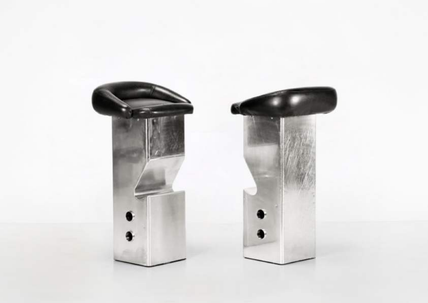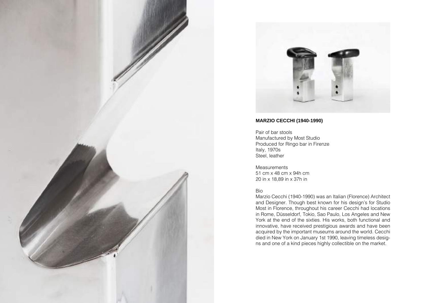



# **MARZIO CECCHI (1940-1990)**

Pair of bar stools Manufactured by Most Studio Produced for Ringo bar in Firenze Italy, 1970s Steel, leather

**Measurements** 51 cm x 48 cm x 94h cm 20 in x 18,89 in x 37h in

# Bio

Marzio Cecchi (1940-1990) was an Italian (Florence) Architect and Designer. Though best known for his design's for Studio Most in Florence, throughout his career Cecchi had locations in Rome, Düsseldorf, Tokio, Sao Paulo, Los Angeles and New York at the end of the sixties. His works, both functional and innovative, have received prestigious awards and have been acquired by the important museums around the world. Cecchi died in New York on January 1st 1990, leaving timeless designs and one of a kind pieces highly collectible on the market.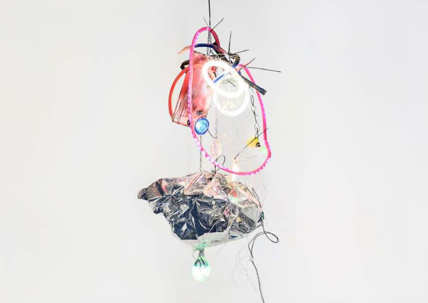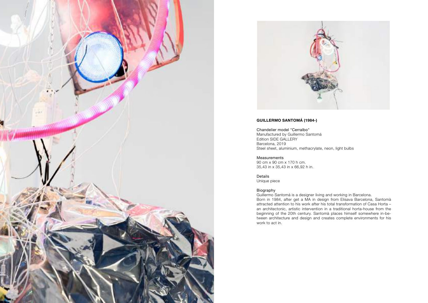

+ 34 931 621 575 +34 653 238 311

info@side-gallery.com

www.side-gallery.com



# **GUILLERMO SANTOMÁ (1984-)**

Chandelier model "Cerralbo" Manufactured by Guillermo Santomá Edition SIDE GALLERY Barcelona, 2019 Steel sheet, aluminium, methacrylate, neon, light bulbs

Measurements 90 cm x 90 cm x 170 h cm. 35,43 in x 35,43 in x 66,92 h in.

Details Unique piece

## Biography

Guillermo Santomá is a designer living and working in Barcelona. Born in 1984, after get a MA in design from Elisava Barcelona, Santomà attracted attention to his work after his total transformation of Casa Horta an architectonic, artistic intervention in a traditional horta-house from the beginning of the 20th century. Santomà places himself somewhere in-between architecture and design and creates complete environments for his work to act in.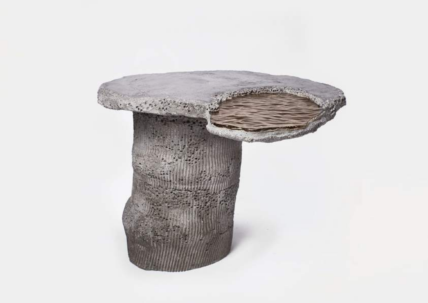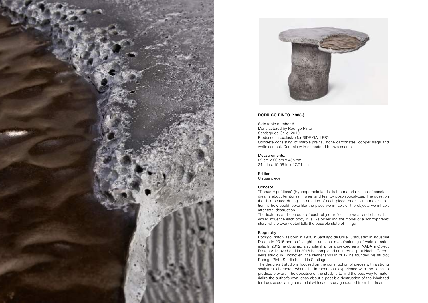

[A\*8\$')1\*9'#\$#%,F\* A[AA[\*>#'1&(,\$#\*

\*\\*-J\*C-B\*]@B\*H^H \-J\*]H-\*@-[\*-BB

)\$0,\_F)%&TE#((&'4I1,+ DDDIF)%&TE#((&'4I1,+



#### **RODRIGO PINTO (1988-)**

Side table number Manufactured by Rodrigo Pinto Santiago de Chile, 2019 Produced in exclusive for SIDE GALLERY Concrete consisting of marble grains, stone carbonates, copper slags and white cement. Ceramic with embedded bronze enamel.

#### Measurements:

2 cm x 50 cm x 45h cm 24,4 in x 19,8 in x 17,71h in

#### Edition

Unique piece

#### Concept

"Tierras Hipnóticas" (Hypnopompic lands) is the materialization of constant dreams about territories in wear and tear by post-apocalypse. The question that is repeated during the creation of each piece, prior to the materialization, is how could looke like the place we inhabit or the objects we inhabit after total destruction.

The textures and contours of each object reflect the wear and chaos that would influence each body. It is like observing the model of a schizophrenic story, where every detail tells the possible state of things.

#### Biography

Rodrigo Pinto was born in 1988 in Santiago de Chile. Graduated in Industrial Design in 2015 and self-taught in artisanal manufacturing of various materials. In 2012 he obtained a scholarship for a pre-degree at NABA in Object Design Advanzed and in 2016 he completed an internship at Nacho Carbonell's studio in Eindhoven, the Netherlands. In 2017 he founded his studio; Rodrigo Pinto Studio based in Santiago.

The design-art studio is focused on the construction of pieces with a strong sculptural character, where the intrapersonal experience with the piece to produce prevails. The objective of the study is to find the best way to materialize the author's own ideas about a possible destruction of the inhabited territory, associating a material with each story generated from the dream.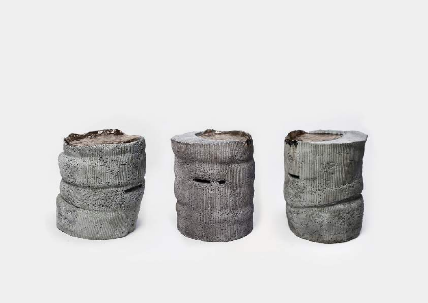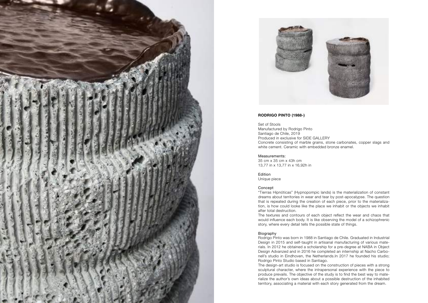

[A\*8\$')1\*9'#\$#%,F\* A[AA[\*>#'1&(,\$#\*

\*\\*-J\*C-B\*]@B\*H^H \-J\*]H-\*@-[\*-BB

)\$0,\_F)%&TE#((&'4I1,+

DDDIF)%&TE#((&'4I1,+



#### **RODRIGO PINTO (1988-)**

Set of Stools Manufactured by Rodrigo Pinto Santiago de Chile, 2019 Produced in exclusive for SIDE GALLERY Concrete consisting of marble grains, stone carbonates, copper slags and white cement. Ceramic with embedded bronze enamel.

#### Measurements:

35 cm x 35 cm x 43h cm 13,77 in x 13,77 in x 16,92h in

#### Edition

Unique piece

#### Concept

"Tierras Hipnóticas" (Hypnopompic lands) is the materialization of constant dreams about territories in wear and tear by post-apocalypse. The question that is repeated during the creation of each piece, prior to the materialization, is how could looke like the place we inhabit or the objects we inhabit after total destruction.

The textures and contours of each object reflect the wear and chaos that would influence each body. It is like observing the model of a schizophrenic story, where every detail tells the possible state of things.

#### Biography

Rodrigo Pinto was born in 1988 in Santiago de Chile. Graduated in Industrial Design in 2015 and self-taught in artisanal manufacturing of various materials. In 2012 he obtained a scholarship for a pre-degree at NABA in Object Design Advanzed and in 2016 he completed an internship at Nacho Carbonell's studio in Eindhoven, the Netherlands. In 2017 he founded his studio; Rodrigo Pinto Studio based in Santiago.

The design-art studio is focused on the construction of pieces with a strong sculptural character, where the intrapersonal experience with the piece to produce prevails. The objective of the study is to find the best way to materialize the author's own ideas about a possible destruction of the inhabited territory, associating a material with each story generated from the dream.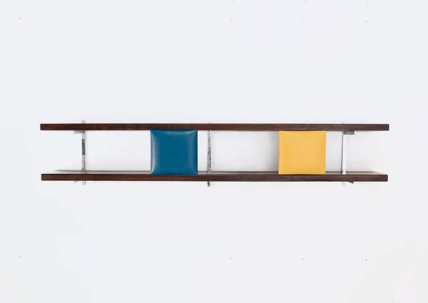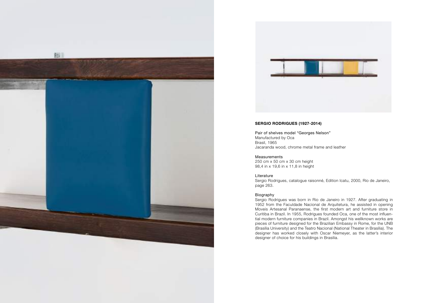

## SERGIO RODRIGUES (1927-2014)

Pair of shelves model "Georges Nelson" Manufactured by Oca Brasil, 1965 Jacaranda wood, chrome metal frame and leather

Measurements 250 cm x 50 cm x 30 cm height 98,4 in x 19,6 in x 11,8 in height

#### Literature

80 Enric Granados 08008 Barcelona  $+34931621575$ +34 653 238 311

info@side-gallery.com ww.side-gallery.com

**BH2** 

Sergio Rodrigues, catalogue raisonné, Edition Icatu, 2000, Rio de Janeiro, page 263.

#### Biography

Sergio Rodrigues was born in Rio de Janeiro in 1927. After graduating in 1952 from the Faculdade Nacional de Arquitetura, he assisted in opening Moveis Artesanal Paranaense, the first modern art and furniture store in Curitiba in Brazil. In 1955, Rodrigues founded Oca, one of the most influential modern furniture companies in Brazil. Amongst his wellknown works are pieces of furniture designed for the Brazilian Embassy in Rome, for the UNB (Brasília University) and the Teatro Nacional (National Theater in Brasília). The designer has worked closely with Oscar Niemeyer, as the latter's interior designer of choice for his buildings in Brasilia.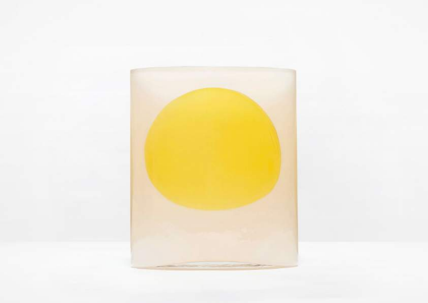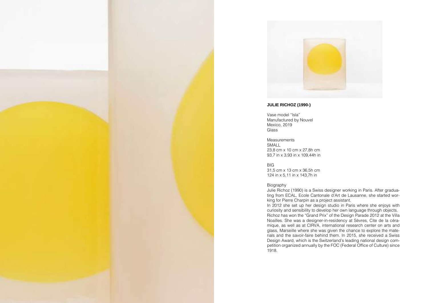

# **JULIE RICHOZ (1990-)**

Vase model "Isla" Manufactured by Nouvel Mexico, 2019 Glass

**Measurements** SMALL 23,8 cm x 10 cm x 27,8h cm 93,7 in x 3,93 in x 109,44h in

#### BIG

31,5 cm x 13 cm x 36,5h cm 124 in x 5,11 in x 143,7h in

#### Biography

Julie Richoz (1990) is a Swiss designer working in Paris. After graduating from ECAL, Ecole Cantonale d'Art de Lausanne, she started working for Pierre Charpin as a project assistant.

In 2012 she set up her design studio in Paris where she enjoys with curiosity and sensibility to develop her own language through objects. Richoz has won the "Grand Prix" of the Design Parade 2012 at the Villa Noailles. She was a designer-in-residency at Sèvres, Cite de la céramique, as well as at CIRVA, international research center on arts and glass, Marseille where she was given the chance to explore the materials and the savoir-faire behind them. In 2015, she received a Swiss Design Award, which is the Switzerland's leading national design competition organized annually by the FOC (Federal Office of Culture) since 1918.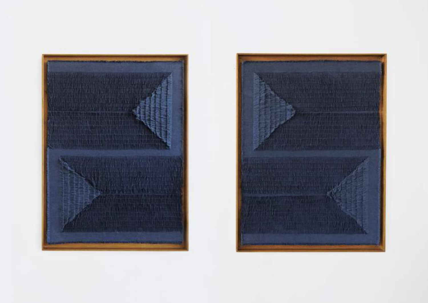

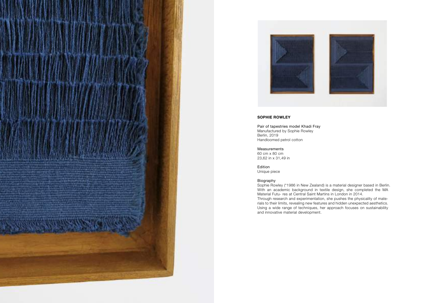

+34 931 621 575 +34 653 238 311

info@side-gallery.com

www.side-gallery.com



#### **SOPHIE ROWLEY**

Pair of tapestries model Khadi Fray Manufactured by Sophie Rowley Berlin, 2019 Handloomed petrol cotton

Measurements 60 cm x 80 cm 23,62 in x 31,49 in

Edition Unique piece

#### Biography

Sophie Rowley (\*1986 in New Zealand) is a material designer based in Berlin. With an academic background in textile design, she completed the MA Material Futu- res at Central Saint Martins in London in 2014. Through research and experimentation, she pushes the physicality of materials to their limits, revealing new features and hidden unexpected aesthetics. Using a wide range of techniques, her approach focuses on sustainability and innovative material development.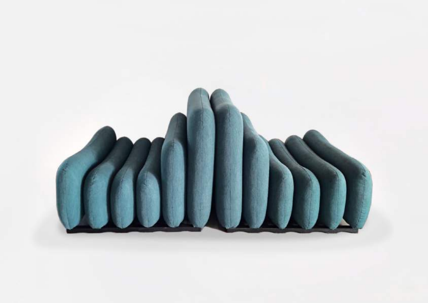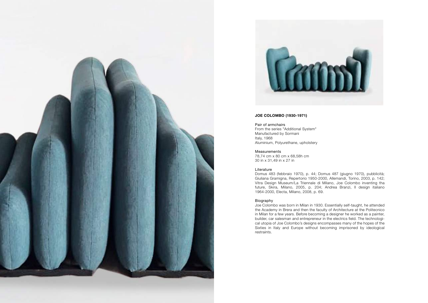

#### **JOE COLOMBO (1930-1971)**

Pair of armchairs From the series "Additional System" Manufactured by Sormani Italy, 1968 Aluminium, Polyurethane, upholstery

#### Measurements

78,74 cm x 80 cm x 68,58h cm 30 in x 31.49 in x 27 in

#### Literature

80 Enric Granados

Domus 483 (febbraio 1970), p. 44; Domus 487 (giugno 1970), pubblicità; Giuliana Gramigna, Repertorio 1950-2000, Allemandi, Torino, 2003, p. 142; Vitra Design Museum/La Triennale di Milano, Joe Colombo inventing tha future, Skira, Milano, 2005, p. 204; Andrea Branzi, Il design italiano 1964-2000. Electa. Milano. 2008. p. 69.

#### Biography

Joe Colombo was born in Milan in 1930. Essentially self-taught, he attended the Academy in Brera and then the faculty of Architecture at the Politecnico in Milan for a few years. Before becoming a designer he worked as a painter, builder, car salesman and entrepreneur in the electrics field. The technological utopia of Joe Colombo's designs encompasses many of the hopes of the Sixties in Italy and Europe without becoming imprisoned by ideological restraints.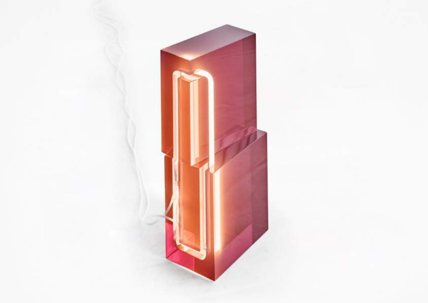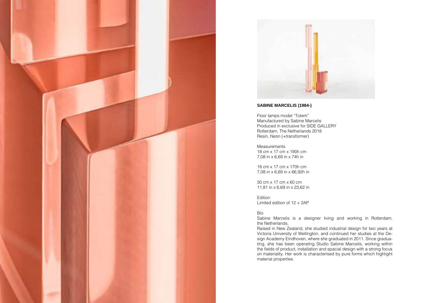



# **SABINE MARCELIS (1984-)**

Floor lamps model "Totem" Manufactured by Sabine Marcelis Produced in exclusive for SIDE GALLERY Rotterdam, The Netherlands 2018 Resin, Neon (+transformer)

**Measurements** 18 cm x 17 cm x 190h cm 7,08 in x 6,69 in x 74h in

18 cm x 17 cm x 170h cm 7,08 in x 6,69 in x 66,92h in

30 cm x 17 cm x 60 cm 11,81 in x 6,69 in x 23,62 in

Edition Limited edition of 12 + 2AP

# Bio

Sabine Marcelis is a designer living and working in Rotterdam, the Netherlands.

Raised in New Zealand, she studied industrial design for two years at Victoria University of Wellington, and continued her studies at the Design Academy Eindhoven, where she graduated in 2011. Since graduating, she has been operating Studio Sabine Marcelis, working within the fields of product, installation and spacial design with a strong focus on materiality. Her work is characterised by pure forms which highlight material properties.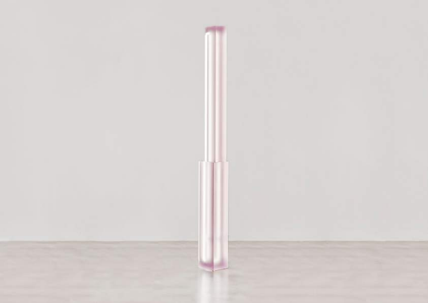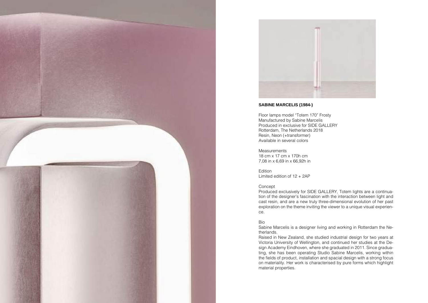



#### **SABINE MARCELIS (1984-)**

Floor lamps model "Totem 170" Frosty Manufactured by Sabine Marcelis Produced in exclusive for SIDE GALLERY Rotterdam, The Netherlands 2018 Resin, Neon (+transformer) Available in several colors

**Measurements** 18 cm x 17 cm x 170h cm 7,08 in x 6,69 in x 66,92h in

Edition Limited edition of 12 + 2AP

#### Concept

Produced exclusively for SIDE GALLERY, Totem lights are a continuation of the designer's fascination with the interaction between light and cast resin, and are a new truly three-dimensional evolution of her past exploration on the theme inviting the viewer to a unique visual experience.

#### Bio

Sabine Marcelis is a designer living and working in Rotterdam the Netherlands.

Raised in New Zealand, she studied industrial design for two years at Victoria University of Wellington, and continued her studies at the Design Academy Eindhoven, where she graduated in 2011. Since graduating, she has been operating Studio Sabine Marcelis, working within the fields of product, installation and spacial design with a strong focus on materiality. Her work is characterised by pure forms which highlight material properties.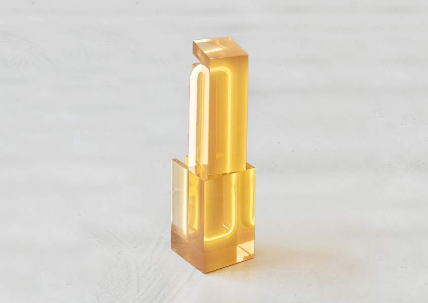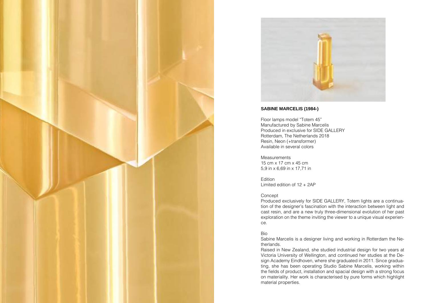



# **SABINE MARCELIS (1984-)**

Floor lamps model "Totem 45" Manufactured by Sabine Marcelis Produced in exclusive for SIDE GALLERY Rotterdam, The Netherlands 2018 Resin, Neon (+transformer) Available in several colors

Measurements 15 cm x 17 cm x 45 cm 5,9 in x 6,69 in x 17,71 in

**Edition** Limited edition of 12 + 2AP

#### Concept

Produced exclusively for SIDE GALLERY, Totem lights are a continuation of the designer's fascination with the interaction between light and cast resin, and are a new truly three-dimensional evolution of her past exploration on the theme inviting the viewer to a unique visual experience.

#### Bio

Sabine Marcelis is a designer living and working in Rotterdam the Netherlands.

Raised in New Zealand, she studied industrial design for two years at Victoria University of Wellington, and continued her studies at the Design Academy Eindhoven, where she graduated in 2011. Since graduating, she has been operating Studio Sabine Marcelis, working within the fields of product, installation and spacial design with a strong focus on materiality. Her work is characterised by pure forms which highlight material properties.